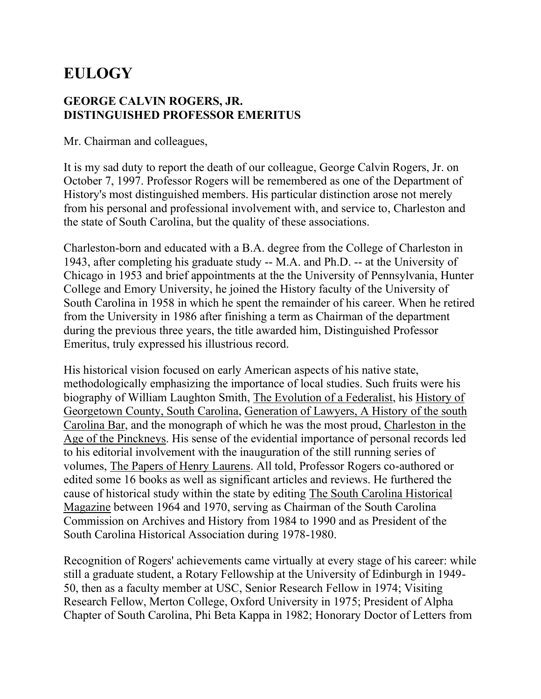## **EULOGY**

## **GEORGE CALVIN ROGERS, JR. DISTINGUISHED PROFESSOR EMERITUS**

Mr. Chairman and colleagues,

It is my sad duty to report the death of our colleague, George Calvin Rogers, Jr. on October 7, 1997. Professor Rogers will be remembered as one of the Department of History's most distinguished members. His particular distinction arose not merely from his personal and professional involvement with, and service to, Charleston and the state of South Carolina, but the quality of these associations.

Charleston-born and educated with a B.A. degree from the College of Charleston in 1943, after completing his graduate study -- M.A. and Ph.D. -- at the University of Chicago in 1953 and brief appointments at the the University of Pennsylvania, Hunter College and Emory University, he joined the History faculty of the University of South Carolina in 1958 in which he spent the remainder of his career. When he retired from the University in 1986 after finishing a term as Chairman of the department during the previous three years, the title awarded him, Distinguished Professor Emeritus, truly expressed his illustrious record.

His historical vision focused on early American aspects of his native state, methodologically emphasizing the importance of local studies. Such fruits were his biography of William Laughton Smith, The Evolution of a Federalist, his History of Georgetown County, South Carolina, Generation of Lawyers, A History of the south Carolina Bar, and the monograph of which he was the most proud, Charleston in the Age of the Pinckneys. His sense of the evidential importance of personal records led to his editorial involvement with the inauguration of the still running series of volumes, The Papers of Henry Laurens. All told, Professor Rogers co-authored or edited some 16 books as well as significant articles and reviews. He furthered the cause of historical study within the state by editing The South Carolina Historical Magazine between 1964 and 1970, serving as Chairman of the South Carolina Commission on Archives and History from 1984 to 1990 and as President of the South Carolina Historical Association during 1978-1980.

Recognition of Rogers' achievements came virtually at every stage of his career: while still a graduate student, a Rotary Fellowship at the University of Edinburgh in 1949- 50, then as a faculty member at USC, Senior Research Fellow in 1974; Visiting Research Fellow, Merton College, Oxford University in 1975; President of Alpha Chapter of South Carolina, Phi Beta Kappa in 1982; Honorary Doctor of Letters from